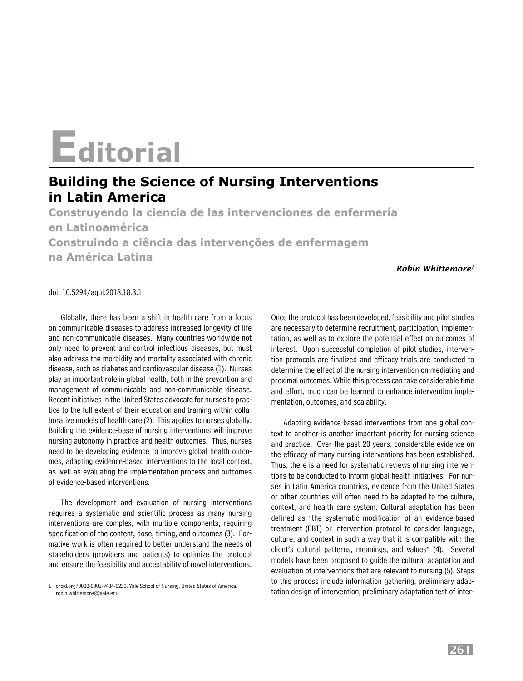## **Editorial**

## **Building the Science of Nursing Interventions in Latin America**

**Construyendo la ciencia de las intervenciones de enfermería en Latinoamérica Construindo a ciência das intervenções de enfermagem na América Latina**

*Robin Whittemore1*

## doi: 10.5294/aqui.2018.18.3.1

Globally, there has been a shift in health care from a focus on communicable diseases to address increased longevity of life and non-communicable diseases. Many countries worldwide not only need to prevent and control infectious diseases, but must also address the morbidity and mortality associated with chronic disease, such as diabetes and cardiovascular disease (1). Nurses play an important role in global health, both in the prevention and management of communicable and non-communicable disease. Recent initiatives in the United States advocate for nurses to practice to the full extent of their education and training within collaborative models of health care (2). This applies to nurses globally. Building the evidence-base of nursing interventions will improve nursing autonomy in practice and health outcomes. Thus, nurses need to be developing evidence to improve global health outcomes, adapting evidence-based interventions to the local context, as well as evaluating the implementation process and outcomes of evidence-based interventions.

The development and evaluation of nursing interventions requires a systematic and scientific process as many nursing interventions are complex, with multiple components, requiring specification of the content, dose, timing, and outcomes (3). Formative work is often required to better understand the needs of stakeholders (providers and patients) to optimize the protocol and ensure the feasibility and acceptability of novel interventions.

Once the protocol has been developed, feasibility and pilot studies are necessary to determine recruitment, participation, implementation, as well as to explore the potential effect on outcomes of interest. Upon successful completion of pilot studies, intervention protocols are finalized and efficacy trials are conducted to determine the effect of the nursing intervention on mediating and proximal outcomes. While this process can take considerable time and effort, much can be learned to enhance intervention implementation, outcomes, and scalability.

Adapting evidence-based interventions from one global context to another is another important priority for nursing science and practice. Over the past 20 years, considerable evidence on the efficacy of many nursing interventions has been established. Thus, there is a need for systematic reviews of nursing interventions to be conducted to inform global health initiatives. For nurses in Latin America countries, evidence from the United States or other countries will often need to be adapted to the culture, context, and health care system. Cultural adaptation has been defined as "the systematic modification of an evidence-based treatment (EBT) or intervention protocol to consider language, culture, and context in such a way that it is compatible with the client's cultural patterns, meanings, and values" (4). Several models have been proposed to guide the cultural adaptation and evaluation of interventions that are relevant to nursing (5). Steps to this process include information gathering, preliminary adaptation design of intervention, preliminary adaptation test of inter-

<sup>1</sup> [orcid.org/0000-0001-9434-0230](http://orcid.org/0000-0001-9434-0230). Yale School of Nursing, United States of America. robin.whittemore@yale.edu